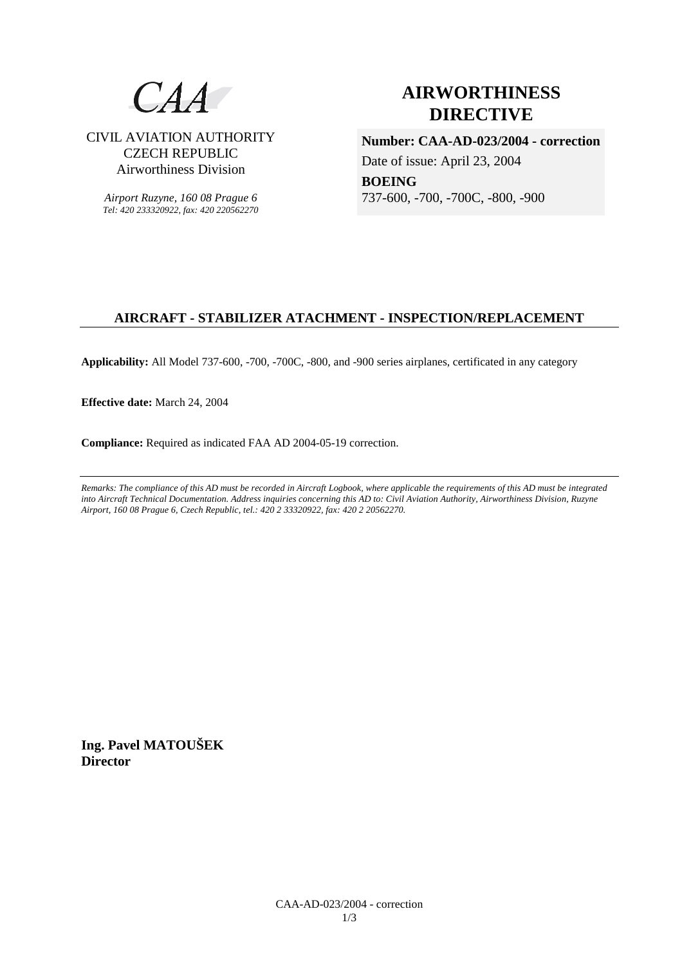

CIVIL AVIATION AUTHORITY CZECH REPUBLIC Airworthiness Division

*Airport Ruzyne, 160 08 Prague 6 Tel: 420 233320922, fax: 420 220562270*

# **AIRWORTHINESS DIRECTIVE**

**Number: CAA-AD-023/2004 - correction**  Date of issue: April 23, 2004 **BOEING** 

737-600, -700, -700C, -800, -900

# **AIRCRAFT - STABILIZER ATACHMENT - INSPECTION/REPLACEMENT**

**Applicability:** All Model 737-600, -700, -700C, -800, and -900 series airplanes, certificated in any category

**Effective date:** March 24, 2004

**Compliance:** Required as indicated FAA AD 2004-05-19 correction.

*Remarks: The compliance of this AD must be recorded in Aircraft Logbook, where applicable the requirements of this AD must be integrated into Aircraft Technical Documentation. Address inquiries concerning this AD to: Civil Aviation Authority, Airworthiness Division, Ruzyne Airport, 160 08 Prague 6, Czech Republic, tel.: 420 2 33320922, fax: 420 2 20562270.* 

**Ing. Pavel MATOUŠEK Director**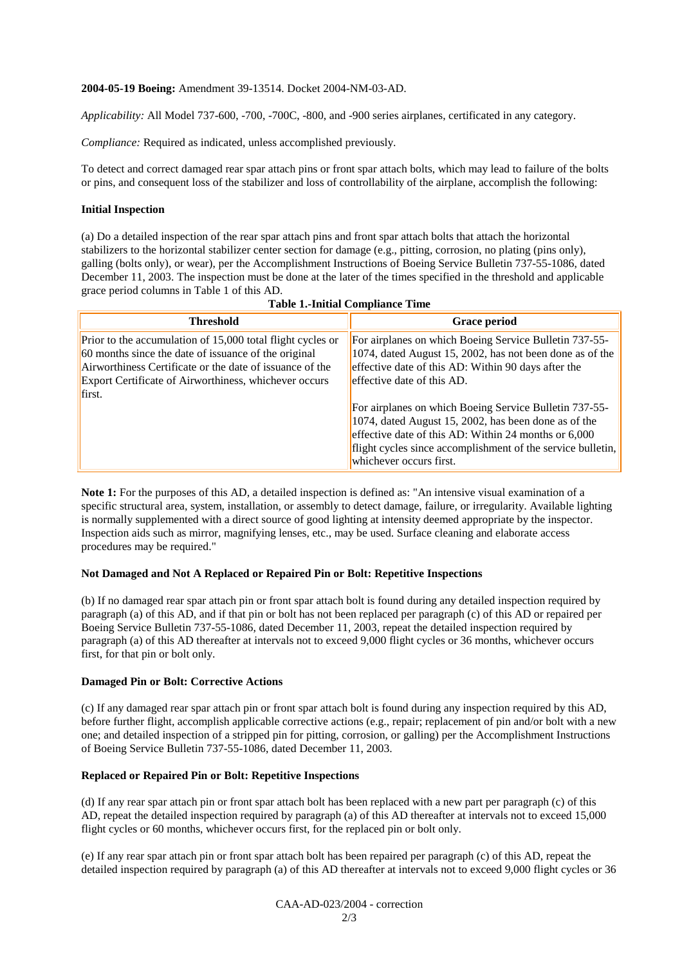# **2004-05-19 Boeing:** Amendment 39-13514. Docket 2004-NM-03-AD.

*Applicability:* All Model 737-600, -700, -700C, -800, and -900 series airplanes, certificated in any category.

*Compliance:* Required as indicated, unless accomplished previously.

To detect and correct damaged rear spar attach pins or front spar attach bolts, which may lead to failure of the bolts or pins, and consequent loss of the stabilizer and loss of controllability of the airplane, accomplish the following:

# **Initial Inspection**

(a) Do a detailed inspection of the rear spar attach pins and front spar attach bolts that attach the horizontal stabilizers to the horizontal stabilizer center section for damage (e.g., pitting, corrosion, no plating (pins only), galling (bolts only), or wear), per the Accomplishment Instructions of Boeing Service Bulletin 737-55-1086, dated December 11, 2003. The inspection must be done at the later of the times specified in the threshold and applicable grace period columns in Table 1 of this AD.

| Table 1,-Initial Comphaned Thile                                                                                                                                                                                                                  |                                                                                                                                                                                                                                                                                                                                                                                                                                                                               |  |
|---------------------------------------------------------------------------------------------------------------------------------------------------------------------------------------------------------------------------------------------------|-------------------------------------------------------------------------------------------------------------------------------------------------------------------------------------------------------------------------------------------------------------------------------------------------------------------------------------------------------------------------------------------------------------------------------------------------------------------------------|--|
| <b>Threshold</b>                                                                                                                                                                                                                                  | <b>Grace period</b>                                                                                                                                                                                                                                                                                                                                                                                                                                                           |  |
| Prior to the accumulation of 15,000 total flight cycles or<br>60 months since the date of issuance of the original<br>Airworthiness Certificate or the date of issuance of the<br>Export Certificate of Airworthiness, whichever occurs<br>first. | For airplanes on which Boeing Service Bulletin 737-55-<br>1074, dated August 15, 2002, has not been done as of the<br>effective date of this AD: Within 90 days after the<br>effective date of this AD.<br>For airplanes on which Boeing Service Bulletin 737-55-<br>1074, dated August 15, 2002, has been done as of the<br>effective date of this AD: Within 24 months or $6,000$<br>flight cycles since accomplishment of the service bulletin,<br>whichever occurs first. |  |

| <b>Table 1.-Initial Compliance Time</b> |  |
|-----------------------------------------|--|
|-----------------------------------------|--|

**Note 1:** For the purposes of this AD, a detailed inspection is defined as: "An intensive visual examination of a specific structural area, system, installation, or assembly to detect damage, failure, or irregularity. Available lighting is normally supplemented with a direct source of good lighting at intensity deemed appropriate by the inspector. Inspection aids such as mirror, magnifying lenses, etc., may be used. Surface cleaning and elaborate access procedures may be required."

## **Not Damaged and Not A Replaced or Repaired Pin or Bolt: Repetitive Inspections**

(b) If no damaged rear spar attach pin or front spar attach bolt is found during any detailed inspection required by paragraph (a) of this AD, and if that pin or bolt has not been replaced per paragraph (c) of this AD or repaired per Boeing Service Bulletin 737-55-1086, dated December 11, 2003, repeat the detailed inspection required by paragraph (a) of this AD thereafter at intervals not to exceed 9,000 flight cycles or 36 months, whichever occurs first, for that pin or bolt only.

## **Damaged Pin or Bolt: Corrective Actions**

(c) If any damaged rear spar attach pin or front spar attach bolt is found during any inspection required by this AD, before further flight, accomplish applicable corrective actions (e.g., repair; replacement of pin and/or bolt with a new one; and detailed inspection of a stripped pin for pitting, corrosion, or galling) per the Accomplishment Instructions of Boeing Service Bulletin 737-55-1086, dated December 11, 2003.

## **Replaced or Repaired Pin or Bolt: Repetitive Inspections**

(d) If any rear spar attach pin or front spar attach bolt has been replaced with a new part per paragraph (c) of this AD, repeat the detailed inspection required by paragraph (a) of this AD thereafter at intervals not to exceed 15,000 flight cycles or 60 months, whichever occurs first, for the replaced pin or bolt only.

(e) If any rear spar attach pin or front spar attach bolt has been repaired per paragraph (c) of this AD, repeat the detailed inspection required by paragraph (a) of this AD thereafter at intervals not to exceed 9,000 flight cycles or 36